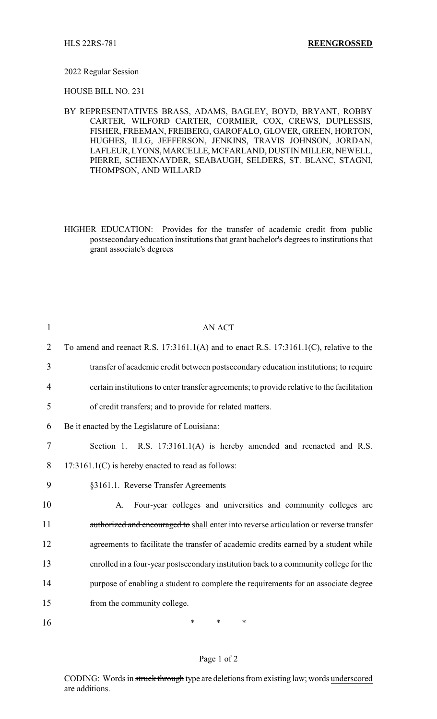#### 2022 Regular Session

HOUSE BILL NO. 231

BY REPRESENTATIVES BRASS, ADAMS, BAGLEY, BOYD, BRYANT, ROBBY CARTER, WILFORD CARTER, CORMIER, COX, CREWS, DUPLESSIS, FISHER, FREEMAN, FREIBERG, GAROFALO, GLOVER, GREEN, HORTON, HUGHES, ILLG, JEFFERSON, JENKINS, TRAVIS JOHNSON, JORDAN, LAFLEUR, LYONS,MARCELLE,MCFARLAND, DUSTIN MILLER, NEWELL, PIERRE, SCHEXNAYDER, SEABAUGH, SELDERS, ST. BLANC, STAGNI, THOMPSON, AND WILLARD

HIGHER EDUCATION: Provides for the transfer of academic credit from public postsecondary education institutions that grant bachelor's degrees to institutions that grant associate's degrees

| $\mathbf{1}$   | <b>AN ACT</b>                                                                               |
|----------------|---------------------------------------------------------------------------------------------|
| $\overline{2}$ | To amend and reenact R.S. $17:3161.1(A)$ and to enact R.S. $17:3161.1(C)$ , relative to the |
| 3              | transfer of academic credit between postsecondary education institutions; to require        |
| 4              | certain institutions to enter transfer agreements; to provide relative to the facilitation  |
| 5              | of credit transfers; and to provide for related matters.                                    |
| 6              | Be it enacted by the Legislature of Louisiana:                                              |
| 7              | Section 1. R.S. 17:3161.1(A) is hereby amended and reenacted and R.S.                       |
| 8              | $17:3161.1(C)$ is hereby enacted to read as follows:                                        |
| 9              | §3161.1. Reverse Transfer Agreements                                                        |
| 10             | Four-year colleges and universities and community colleges are<br>A.                        |
| 11             | authorized and encouraged to shall enter into reverse articulation or reverse transfer      |
| 12             | agreements to facilitate the transfer of academic credits earned by a student while         |
| 13             | enrolled in a four-year postsecondary institution back to a community college for the       |
| 14             | purpose of enabling a student to complete the requirements for an associate degree          |
| 15             | from the community college.                                                                 |
| 16             | ∗<br>*<br>*                                                                                 |

### Page 1 of 2

CODING: Words in struck through type are deletions from existing law; words underscored are additions.